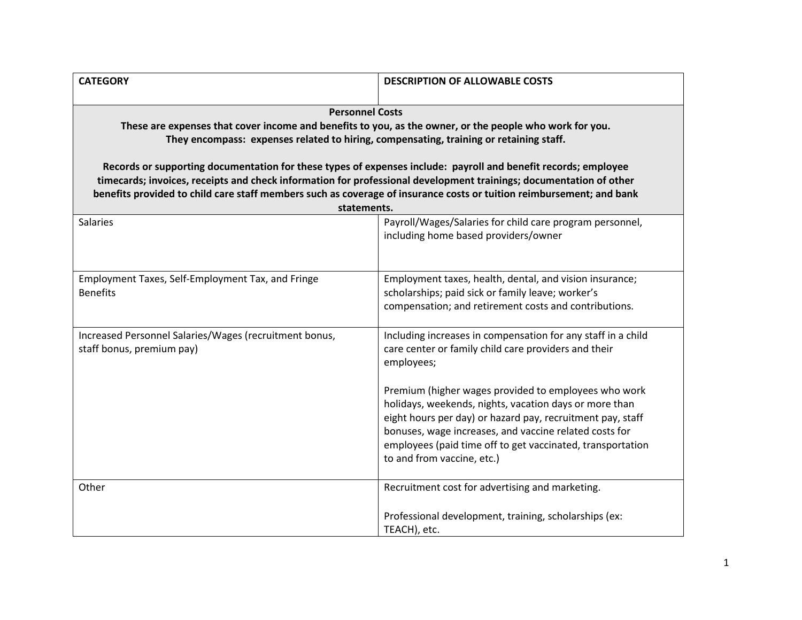| <b>CATEGORY</b>                                                                                                                                                                                                                                                                                                                                                                                                                                                                                                                                                                             | <b>DESCRIPTION OF ALLOWABLE COSTS</b>                                                                                                                                                                                                                                                                                              |  |
|---------------------------------------------------------------------------------------------------------------------------------------------------------------------------------------------------------------------------------------------------------------------------------------------------------------------------------------------------------------------------------------------------------------------------------------------------------------------------------------------------------------------------------------------------------------------------------------------|------------------------------------------------------------------------------------------------------------------------------------------------------------------------------------------------------------------------------------------------------------------------------------------------------------------------------------|--|
| <b>Personnel Costs</b><br>These are expenses that cover income and benefits to you, as the owner, or the people who work for you.<br>They encompass: expenses related to hiring, compensating, training or retaining staff.<br>Records or supporting documentation for these types of expenses include: payroll and benefit records; employee<br>timecards; invoices, receipts and check information for professional development trainings; documentation of other<br>benefits provided to child care staff members such as coverage of insurance costs or tuition reimbursement; and bank |                                                                                                                                                                                                                                                                                                                                    |  |
| statements.                                                                                                                                                                                                                                                                                                                                                                                                                                                                                                                                                                                 |                                                                                                                                                                                                                                                                                                                                    |  |
| Salaries                                                                                                                                                                                                                                                                                                                                                                                                                                                                                                                                                                                    | Payroll/Wages/Salaries for child care program personnel,<br>including home based providers/owner                                                                                                                                                                                                                                   |  |
| Employment Taxes, Self-Employment Tax, and Fringe<br><b>Benefits</b>                                                                                                                                                                                                                                                                                                                                                                                                                                                                                                                        | Employment taxes, health, dental, and vision insurance;<br>scholarships; paid sick or family leave; worker's<br>compensation; and retirement costs and contributions.                                                                                                                                                              |  |
| Increased Personnel Salaries/Wages (recruitment bonus,<br>staff bonus, premium pay)                                                                                                                                                                                                                                                                                                                                                                                                                                                                                                         | Including increases in compensation for any staff in a child<br>care center or family child care providers and their<br>employees;                                                                                                                                                                                                 |  |
|                                                                                                                                                                                                                                                                                                                                                                                                                                                                                                                                                                                             | Premium (higher wages provided to employees who work<br>holidays, weekends, nights, vacation days or more than<br>eight hours per day) or hazard pay, recruitment pay, staff<br>bonuses, wage increases, and vaccine related costs for<br>employees (paid time off to get vaccinated, transportation<br>to and from vaccine, etc.) |  |
| Other                                                                                                                                                                                                                                                                                                                                                                                                                                                                                                                                                                                       | Recruitment cost for advertising and marketing.                                                                                                                                                                                                                                                                                    |  |
|                                                                                                                                                                                                                                                                                                                                                                                                                                                                                                                                                                                             | Professional development, training, scholarships (ex:<br>TEACH), etc.                                                                                                                                                                                                                                                              |  |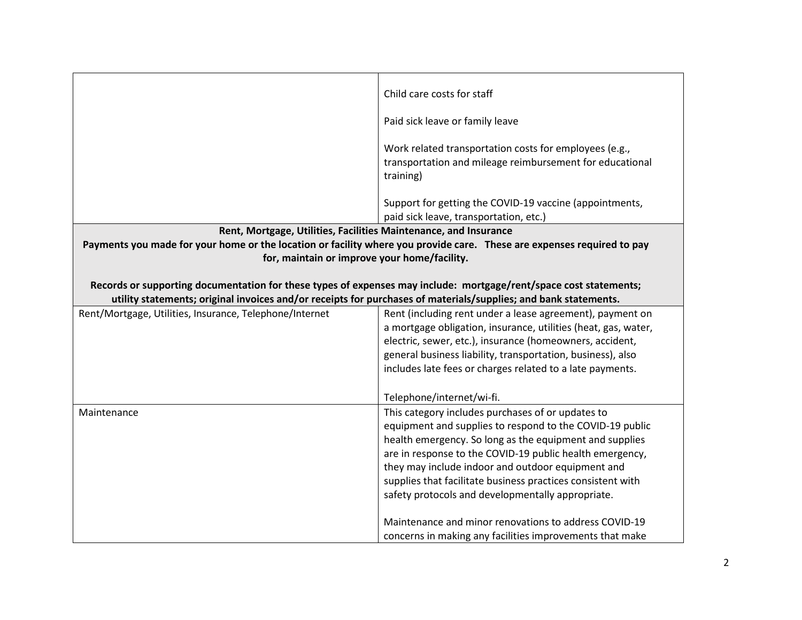|                                                                                                                                                                                                                                      | Child care costs for staff                                                                                                 |
|--------------------------------------------------------------------------------------------------------------------------------------------------------------------------------------------------------------------------------------|----------------------------------------------------------------------------------------------------------------------------|
|                                                                                                                                                                                                                                      | Paid sick leave or family leave                                                                                            |
|                                                                                                                                                                                                                                      | Work related transportation costs for employees (e.g.,                                                                     |
|                                                                                                                                                                                                                                      | transportation and mileage reimbursement for educational                                                                   |
|                                                                                                                                                                                                                                      | training)                                                                                                                  |
|                                                                                                                                                                                                                                      | Support for getting the COVID-19 vaccine (appointments,                                                                    |
|                                                                                                                                                                                                                                      | paid sick leave, transportation, etc.)                                                                                     |
| Rent, Mortgage, Utilities, Facilities Maintenance, and Insurance                                                                                                                                                                     |                                                                                                                            |
| Payments you made for your home or the location or facility where you provide care. These are expenses required to pay                                                                                                               |                                                                                                                            |
| for, maintain or improve your home/facility.                                                                                                                                                                                         |                                                                                                                            |
|                                                                                                                                                                                                                                      |                                                                                                                            |
| Records or supporting documentation for these types of expenses may include: mortgage/rent/space cost statements;<br>utility statements; original invoices and/or receipts for purchases of materials/supplies; and bank statements. |                                                                                                                            |
|                                                                                                                                                                                                                                      |                                                                                                                            |
| Rent/Mortgage, Utilities, Insurance, Telephone/Internet                                                                                                                                                                              | Rent (including rent under a lease agreement), payment on                                                                  |
|                                                                                                                                                                                                                                      | a mortgage obligation, insurance, utilities (heat, gas, water,<br>electric, sewer, etc.), insurance (homeowners, accident, |
|                                                                                                                                                                                                                                      | general business liability, transportation, business), also                                                                |
|                                                                                                                                                                                                                                      | includes late fees or charges related to a late payments.                                                                  |
|                                                                                                                                                                                                                                      |                                                                                                                            |
|                                                                                                                                                                                                                                      | Telephone/internet/wi-fi.                                                                                                  |
| Maintenance                                                                                                                                                                                                                          | This category includes purchases of or updates to                                                                          |
|                                                                                                                                                                                                                                      | equipment and supplies to respond to the COVID-19 public                                                                   |
|                                                                                                                                                                                                                                      | health emergency. So long as the equipment and supplies                                                                    |
|                                                                                                                                                                                                                                      | are in response to the COVID-19 public health emergency,                                                                   |
|                                                                                                                                                                                                                                      | they may include indoor and outdoor equipment and                                                                          |
|                                                                                                                                                                                                                                      | supplies that facilitate business practices consistent with<br>safety protocols and developmentally appropriate.           |
|                                                                                                                                                                                                                                      |                                                                                                                            |
|                                                                                                                                                                                                                                      | Maintenance and minor renovations to address COVID-19                                                                      |
|                                                                                                                                                                                                                                      | concerns in making any facilities improvements that make                                                                   |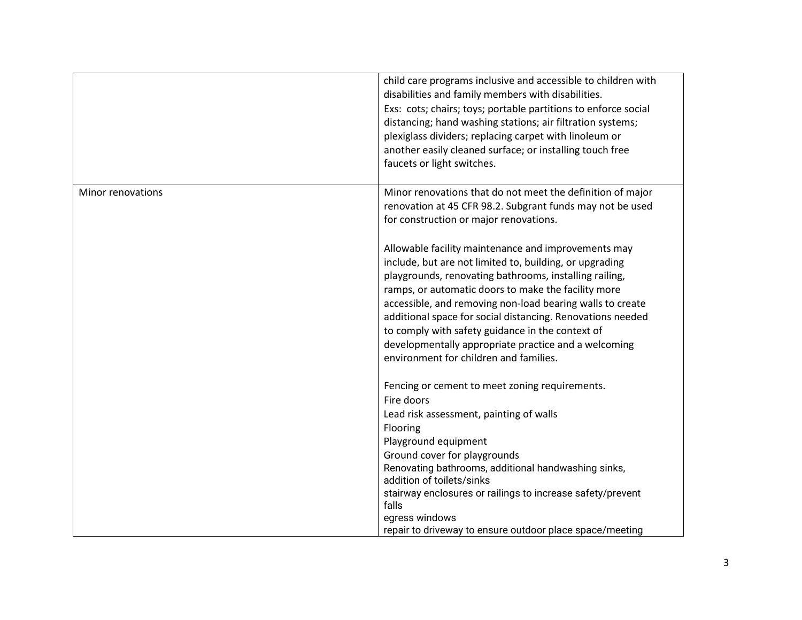|                   | child care programs inclusive and accessible to children with<br>disabilities and family members with disabilities.<br>Exs: cots; chairs; toys; portable partitions to enforce social<br>distancing; hand washing stations; air filtration systems;<br>plexiglass dividers; replacing carpet with linoleum or<br>another easily cleaned surface; or installing touch free<br>faucets or light switches.                                                                                                          |
|-------------------|------------------------------------------------------------------------------------------------------------------------------------------------------------------------------------------------------------------------------------------------------------------------------------------------------------------------------------------------------------------------------------------------------------------------------------------------------------------------------------------------------------------|
| Minor renovations | Minor renovations that do not meet the definition of major<br>renovation at 45 CFR 98.2. Subgrant funds may not be used<br>for construction or major renovations.                                                                                                                                                                                                                                                                                                                                                |
|                   | Allowable facility maintenance and improvements may<br>include, but are not limited to, building, or upgrading<br>playgrounds, renovating bathrooms, installing railing,<br>ramps, or automatic doors to make the facility more<br>accessible, and removing non-load bearing walls to create<br>additional space for social distancing. Renovations needed<br>to comply with safety guidance in the context of<br>developmentally appropriate practice and a welcoming<br>environment for children and families. |
|                   | Fencing or cement to meet zoning requirements.<br>Fire doors<br>Lead risk assessment, painting of walls<br>Flooring                                                                                                                                                                                                                                                                                                                                                                                              |
|                   | Playground equipment<br>Ground cover for playgrounds<br>Renovating bathrooms, additional handwashing sinks,<br>addition of toilets/sinks<br>stairway enclosures or railings to increase safety/prevent<br>falls<br>egress windows<br>repair to driveway to ensure outdoor place space/meeting                                                                                                                                                                                                                    |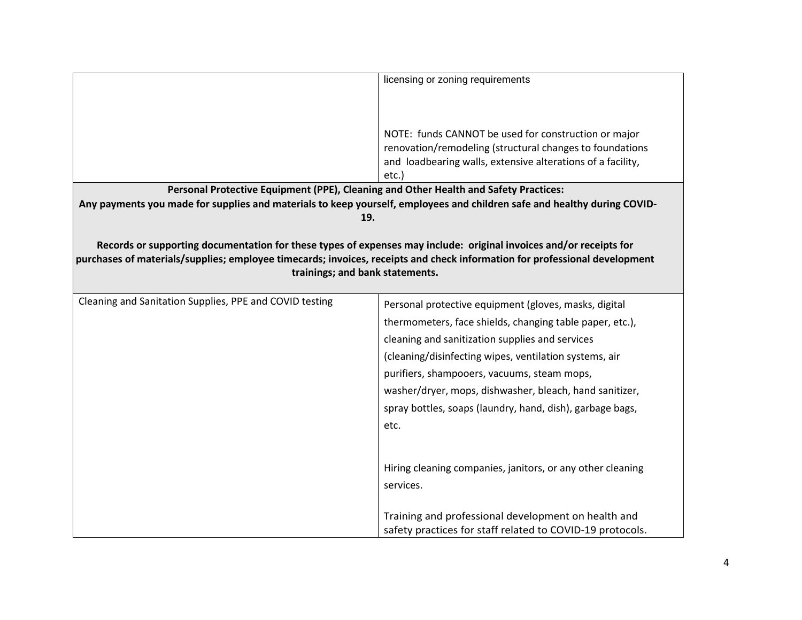|                                                                                                                                 | licensing or zoning requirements                                                                                                                                                |
|---------------------------------------------------------------------------------------------------------------------------------|---------------------------------------------------------------------------------------------------------------------------------------------------------------------------------|
|                                                                                                                                 |                                                                                                                                                                                 |
|                                                                                                                                 |                                                                                                                                                                                 |
|                                                                                                                                 | NOTE: funds CANNOT be used for construction or major<br>renovation/remodeling (structural changes to foundations<br>and loadbearing walls, extensive alterations of a facility, |
|                                                                                                                                 | etc.)                                                                                                                                                                           |
| Personal Protective Equipment (PPE), Cleaning and Other Health and Safety Practices:                                            |                                                                                                                                                                                 |
| Any payments you made for supplies and materials to keep yourself, employees and children safe and healthy during COVID-<br>19. |                                                                                                                                                                                 |
|                                                                                                                                 |                                                                                                                                                                                 |
| Records or supporting documentation for these types of expenses may include: original invoices and/or receipts for              |                                                                                                                                                                                 |
| purchases of materials/supplies; employee timecards; invoices, receipts and check information for professional development      |                                                                                                                                                                                 |
| trainings; and bank statements.                                                                                                 |                                                                                                                                                                                 |
|                                                                                                                                 |                                                                                                                                                                                 |
| Cleaning and Sanitation Supplies, PPE and COVID testing                                                                         | Personal protective equipment (gloves, masks, digital                                                                                                                           |
|                                                                                                                                 | thermometers, face shields, changing table paper, etc.),                                                                                                                        |
|                                                                                                                                 | cleaning and sanitization supplies and services                                                                                                                                 |
|                                                                                                                                 | (cleaning/disinfecting wipes, ventilation systems, air                                                                                                                          |
|                                                                                                                                 | purifiers, shampooers, vacuums, steam mops,                                                                                                                                     |
|                                                                                                                                 | washer/dryer, mops, dishwasher, bleach, hand sanitizer,                                                                                                                         |
|                                                                                                                                 | spray bottles, soaps (laundry, hand, dish), garbage bags,                                                                                                                       |
|                                                                                                                                 | etc.                                                                                                                                                                            |
|                                                                                                                                 |                                                                                                                                                                                 |
|                                                                                                                                 |                                                                                                                                                                                 |
|                                                                                                                                 | Hiring cleaning companies, janitors, or any other cleaning                                                                                                                      |
|                                                                                                                                 | services.                                                                                                                                                                       |
|                                                                                                                                 |                                                                                                                                                                                 |
|                                                                                                                                 | Training and professional development on health and                                                                                                                             |
|                                                                                                                                 | safety practices for staff related to COVID-19 protocols.                                                                                                                       |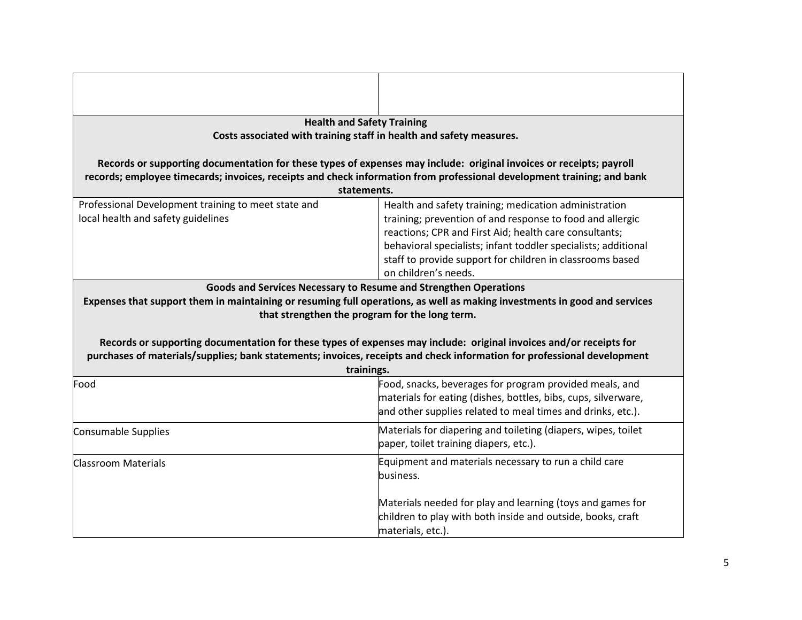| <b>Health and Safety Training</b>                   |                                                                                                                           |  |
|-----------------------------------------------------|---------------------------------------------------------------------------------------------------------------------------|--|
|                                                     | Costs associated with training staff in health and safety measures.                                                       |  |
|                                                     |                                                                                                                           |  |
|                                                     | Records or supporting documentation for these types of expenses may include: original invoices or receipts; payroll       |  |
|                                                     | records; employee timecards; invoices, receipts and check information from professional development training; and bank    |  |
|                                                     | statements.                                                                                                               |  |
| Professional Development training to meet state and | Health and safety training; medication administration                                                                     |  |
| local health and safety guidelines                  | training; prevention of and response to food and allergic                                                                 |  |
|                                                     | reactions; CPR and First Aid; health care consultants;                                                                    |  |
|                                                     | behavioral specialists; infant toddler specialists; additional                                                            |  |
|                                                     | staff to provide support for children in classrooms based                                                                 |  |
|                                                     | on children's needs.                                                                                                      |  |
|                                                     | Goods and Services Necessary to Resume and Strengthen Operations                                                          |  |
|                                                     | Expenses that support them in maintaining or resuming full operations, as well as making investments in good and services |  |
|                                                     | that strengthen the program for the long term.                                                                            |  |
|                                                     |                                                                                                                           |  |
|                                                     | Records or supporting documentation for these types of expenses may include: original invoices and/or receipts for        |  |
|                                                     | purchases of materials/supplies; bank statements; invoices, receipts and check information for professional development   |  |
|                                                     | trainings.                                                                                                                |  |
| Food                                                | Food, snacks, beverages for program provided meals, and                                                                   |  |
|                                                     | materials for eating (dishes, bottles, bibs, cups, silverware,                                                            |  |
|                                                     | and other supplies related to meal times and drinks, etc.).                                                               |  |
| Consumable Supplies                                 | Materials for diapering and toileting (diapers, wipes, toilet                                                             |  |
|                                                     | paper, toilet training diapers, etc.).                                                                                    |  |
| <b>Classroom Materials</b>                          | Equipment and materials necessary to run a child care                                                                     |  |
|                                                     | business.                                                                                                                 |  |
|                                                     |                                                                                                                           |  |
|                                                     | Materials needed for play and learning (toys and games for                                                                |  |
|                                                     | children to play with both inside and outside, books, craft                                                               |  |
|                                                     | materials, etc.).                                                                                                         |  |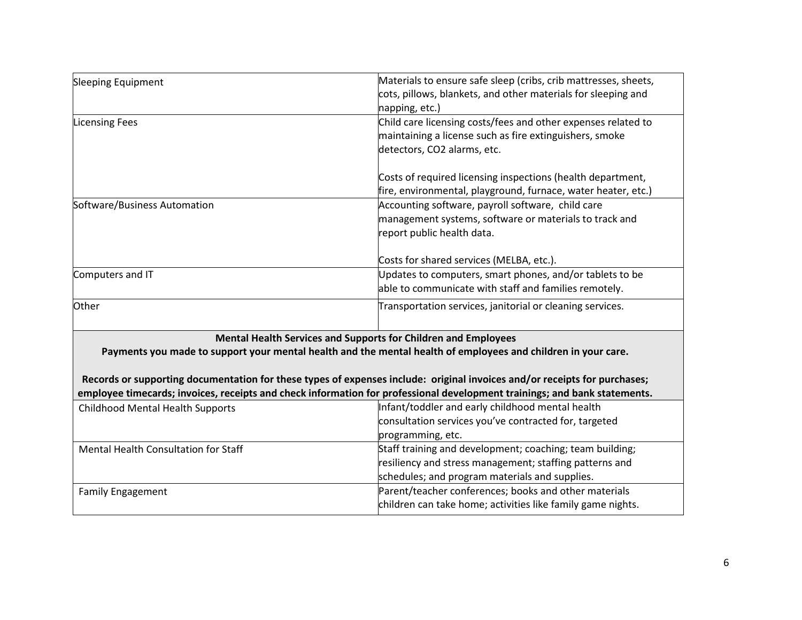| Sleeping Equipment                                                                                                                                                                                                                                                                                                                                                                                                                        | Materials to ensure safe sleep (cribs, crib mattresses, sheets, |  |
|-------------------------------------------------------------------------------------------------------------------------------------------------------------------------------------------------------------------------------------------------------------------------------------------------------------------------------------------------------------------------------------------------------------------------------------------|-----------------------------------------------------------------|--|
|                                                                                                                                                                                                                                                                                                                                                                                                                                           | cots, pillows, blankets, and other materials for sleeping and   |  |
|                                                                                                                                                                                                                                                                                                                                                                                                                                           | napping, etc.)                                                  |  |
| <b>Licensing Fees</b>                                                                                                                                                                                                                                                                                                                                                                                                                     | Child care licensing costs/fees and other expenses related to   |  |
|                                                                                                                                                                                                                                                                                                                                                                                                                                           | maintaining a license such as fire extinguishers, smoke         |  |
|                                                                                                                                                                                                                                                                                                                                                                                                                                           | detectors, CO2 alarms, etc.                                     |  |
|                                                                                                                                                                                                                                                                                                                                                                                                                                           |                                                                 |  |
|                                                                                                                                                                                                                                                                                                                                                                                                                                           | Costs of required licensing inspections (health department,     |  |
|                                                                                                                                                                                                                                                                                                                                                                                                                                           | fire, environmental, playground, furnace, water heater, etc.)   |  |
| Software/Business Automation                                                                                                                                                                                                                                                                                                                                                                                                              | Accounting software, payroll software, child care               |  |
|                                                                                                                                                                                                                                                                                                                                                                                                                                           | management systems, software or materials to track and          |  |
|                                                                                                                                                                                                                                                                                                                                                                                                                                           | report public health data.                                      |  |
|                                                                                                                                                                                                                                                                                                                                                                                                                                           | Costs for shared services (MELBA, etc.).                        |  |
| Computers and IT                                                                                                                                                                                                                                                                                                                                                                                                                          | Updates to computers, smart phones, and/or tablets to be        |  |
|                                                                                                                                                                                                                                                                                                                                                                                                                                           | able to communicate with staff and families remotely.           |  |
| Other                                                                                                                                                                                                                                                                                                                                                                                                                                     | Transportation services, janitorial or cleaning services.       |  |
| Mental Health Services and Supports for Children and Employees<br>Payments you made to support your mental health and the mental health of employees and children in your care.<br>Records or supporting documentation for these types of expenses include: original invoices and/or receipts for purchases;<br>employee timecards; invoices, receipts and check information for professional development trainings; and bank statements. |                                                                 |  |
| <b>Childhood Mental Health Supports</b>                                                                                                                                                                                                                                                                                                                                                                                                   | Infant/toddler and early childhood mental health                |  |
|                                                                                                                                                                                                                                                                                                                                                                                                                                           | consultation services you've contracted for, targeted           |  |
|                                                                                                                                                                                                                                                                                                                                                                                                                                           | programming, etc.                                               |  |
| <b>Mental Health Consultation for Staff</b>                                                                                                                                                                                                                                                                                                                                                                                               | Staff training and development; coaching; team building;        |  |
|                                                                                                                                                                                                                                                                                                                                                                                                                                           | resiliency and stress management; staffing patterns and         |  |
|                                                                                                                                                                                                                                                                                                                                                                                                                                           | schedules; and program materials and supplies.                  |  |
| <b>Family Engagement</b>                                                                                                                                                                                                                                                                                                                                                                                                                  | Parent/teacher conferences; books and other materials           |  |
|                                                                                                                                                                                                                                                                                                                                                                                                                                           | children can take home; activities like family game nights.     |  |